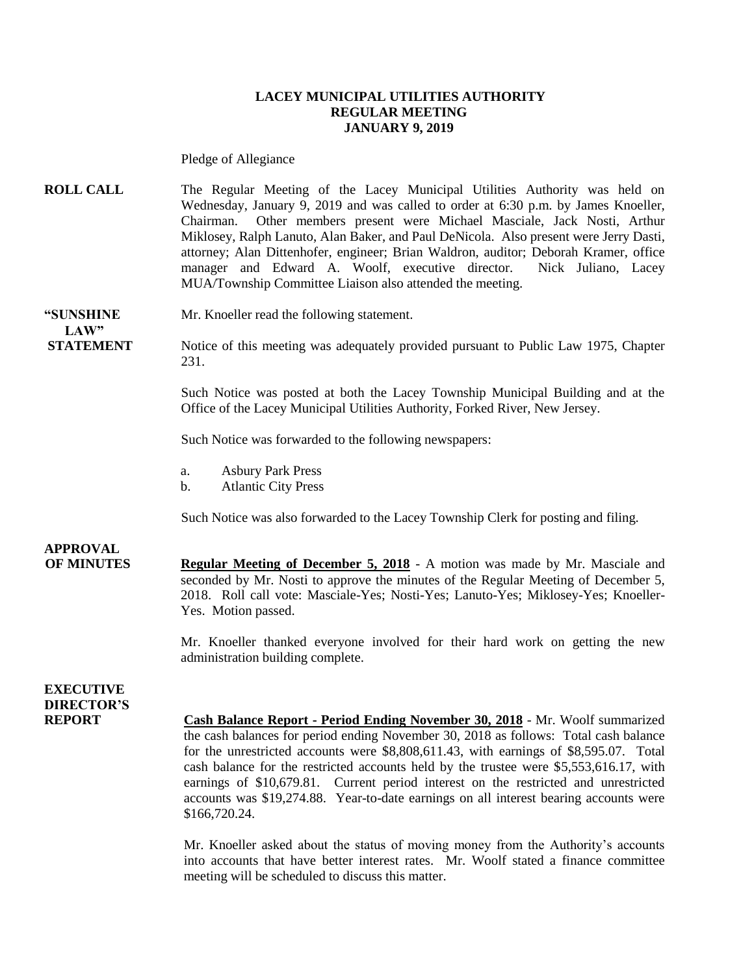#### **LACEY MUNICIPAL UTILITIES AUTHORITY REGULAR MEETING JANUARY 9, 2019**

Pledge of Allegiance

**ROLL CALL** The Regular Meeting of the Lacey Municipal Utilities Authority was held on Wednesday, January 9, 2019 and was called to order at 6:30 p.m. by James Knoeller, Chairman. Other members present were Michael Masciale, Jack Nosti, Arthur Miklosey, Ralph Lanuto, Alan Baker, and Paul DeNicola. Also present were Jerry Dasti, attorney; Alan Dittenhofer, engineer; Brian Waldron, auditor; Deborah Kramer, office manager and Edward A. Woolf, executive director. Nick Juliano, Lacey MUA/Township Committee Liaison also attended the meeting.

**"SUNSHINE** Mr. Knoeller read the following statement. **LAW"**

**STATEMENT** Notice of this meeting was adequately provided pursuant to Public Law 1975, Chapter 231.

> Such Notice was posted at both the Lacey Township Municipal Building and at the Office of the Lacey Municipal Utilities Authority, Forked River, New Jersey.

Such Notice was forwarded to the following newspapers:

- a. Asbury Park Press
- b. Atlantic City Press

Such Notice was also forwarded to the Lacey Township Clerk for posting and filing.

### **APPROVAL**

**OF MINUTES Regular Meeting of December 5, 2018** - A motion was made by Mr. Masciale and seconded by Mr. Nosti to approve the minutes of the Regular Meeting of December 5, 2018. Roll call vote: Masciale-Yes; Nosti-Yes; Lanuto-Yes; Miklosey-Yes; Knoeller-Yes. Motion passed.

> Mr. Knoeller thanked everyone involved for their hard work on getting the new administration building complete.

### **EXECUTIVE DIRECTOR'S**

**REPORT Cash Balance Report - Period Ending November 30, 2018** - Mr. Woolf summarized the cash balances for period ending November 30, 2018 as follows: Total cash balance for the unrestricted accounts were \$8,808,611.43, with earnings of \$8,595.07. Total cash balance for the restricted accounts held by the trustee were \$5,553,616.17, with earnings of \$10,679.81. Current period interest on the restricted and unrestricted accounts was \$19,274.88. Year-to-date earnings on all interest bearing accounts were \$166,720.24.

> Mr. Knoeller asked about the status of moving money from the Authority's accounts into accounts that have better interest rates. Mr. Woolf stated a finance committee meeting will be scheduled to discuss this matter.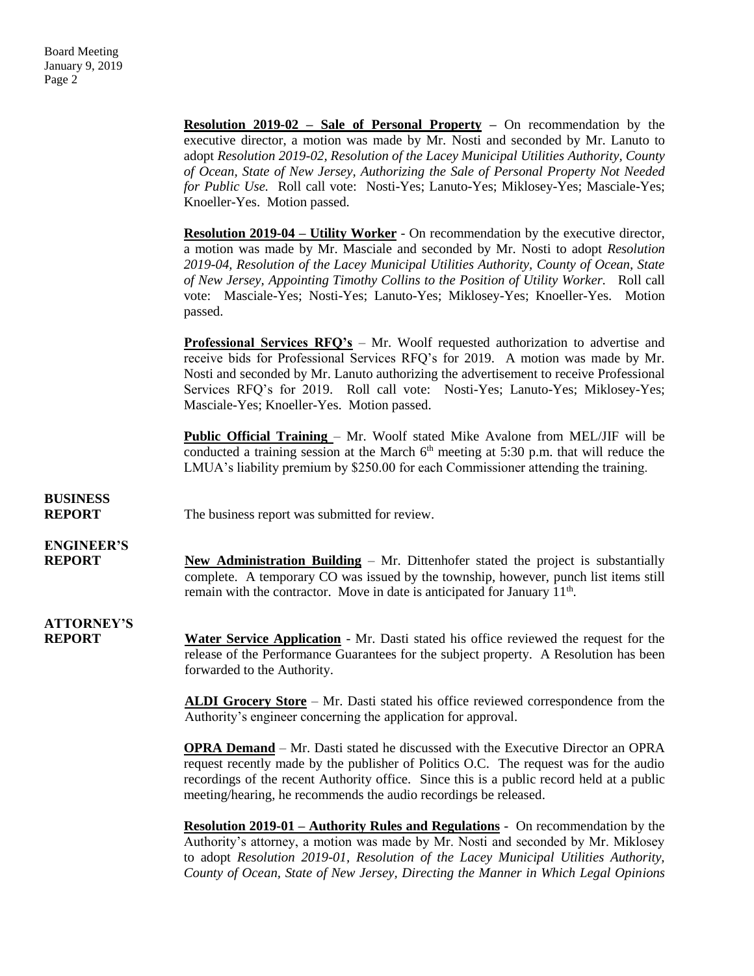|                                    | <b>Resolution 2019-02 - Sale of Personal Property -</b> On recommendation by the<br>executive director, a motion was made by Mr. Nosti and seconded by Mr. Lanuto to<br>adopt Resolution 2019-02, Resolution of the Lacey Municipal Utilities Authority, County<br>of Ocean, State of New Jersey, Authorizing the Sale of Personal Property Not Needed<br>for Public Use. Roll call vote: Nosti-Yes; Lanuto-Yes; Miklosey-Yes; Masciale-Yes;<br>Knoeller-Yes. Motion passed. |
|------------------------------------|------------------------------------------------------------------------------------------------------------------------------------------------------------------------------------------------------------------------------------------------------------------------------------------------------------------------------------------------------------------------------------------------------------------------------------------------------------------------------|
|                                    | <b>Resolution 2019-04 – Utility Worker</b> - On recommendation by the executive director,<br>a motion was made by Mr. Masciale and seconded by Mr. Nosti to adopt Resolution<br>2019-04, Resolution of the Lacey Municipal Utilities Authority, County of Ocean, State<br>of New Jersey, Appointing Timothy Collins to the Position of Utility Worker. Roll call<br>vote: Masciale-Yes; Nosti-Yes; Lanuto-Yes; Miklosey-Yes; Knoeller-Yes. Motion<br>passed.                 |
|                                    | <b>Professional Services RFQ's</b> – Mr. Woolf requested authorization to advertise and<br>receive bids for Professional Services RFQ's for 2019. A motion was made by Mr.<br>Nosti and seconded by Mr. Lanuto authorizing the advertisement to receive Professional<br>Services RFQ's for 2019. Roll call vote: Nosti-Yes; Lanuto-Yes; Miklosey-Yes;<br>Masciale-Yes; Knoeller-Yes. Motion passed.                                                                          |
|                                    | <b>Public Official Training</b> – Mr. Woolf stated Mike Avalone from MEL/JIF will be<br>conducted a training session at the March $6th$ meeting at 5:30 p.m. that will reduce the<br>LMUA's liability premium by \$250.00 for each Commissioner attending the training.                                                                                                                                                                                                      |
| <b>BUSINESS</b><br><b>REPORT</b>   | The business report was submitted for review.                                                                                                                                                                                                                                                                                                                                                                                                                                |
| <b>ENGINEER'S</b><br><b>REPORT</b> | <b>New Administration Building – Mr.</b> Dittenhofer stated the project is substantially<br>complete. A temporary CO was issued by the township, however, punch list items still<br>remain with the contractor. Move in date is anticipated for January 11 <sup>th</sup> .                                                                                                                                                                                                   |
| <b>ATTORNEY'S</b><br><b>REPORT</b> | <b>Water Service Application</b> - Mr. Dasti stated his office reviewed the request for the<br>release of the Performance Guarantees for the subject property. A Resolution has been<br>forwarded to the Authority.                                                                                                                                                                                                                                                          |
|                                    | <b>ALDI Grocery Store</b> – Mr. Dasti stated his office reviewed correspondence from the<br>Authority's engineer concerning the application for approval.                                                                                                                                                                                                                                                                                                                    |
|                                    | <b>OPRA Demand</b> – Mr. Dasti stated he discussed with the Executive Director an OPRA<br>request recently made by the publisher of Politics O.C. The request was for the audio<br>recordings of the recent Authority office. Since this is a public record held at a public<br>meeting/hearing, he recommends the audio recordings be released.                                                                                                                             |
|                                    | <b>Resolution 2019-01 – Authority Rules and Regulations -</b> On recommendation by the<br>Authority's attorney, a motion was made by Mr. Nosti and seconded by Mr. Miklosey<br>to adopt Resolution 2019-01, Resolution of the Lacey Municipal Utilities Authority,<br>County of Ocean, State of New Jersey, Directing the Manner in Which Legal Opinions                                                                                                                     |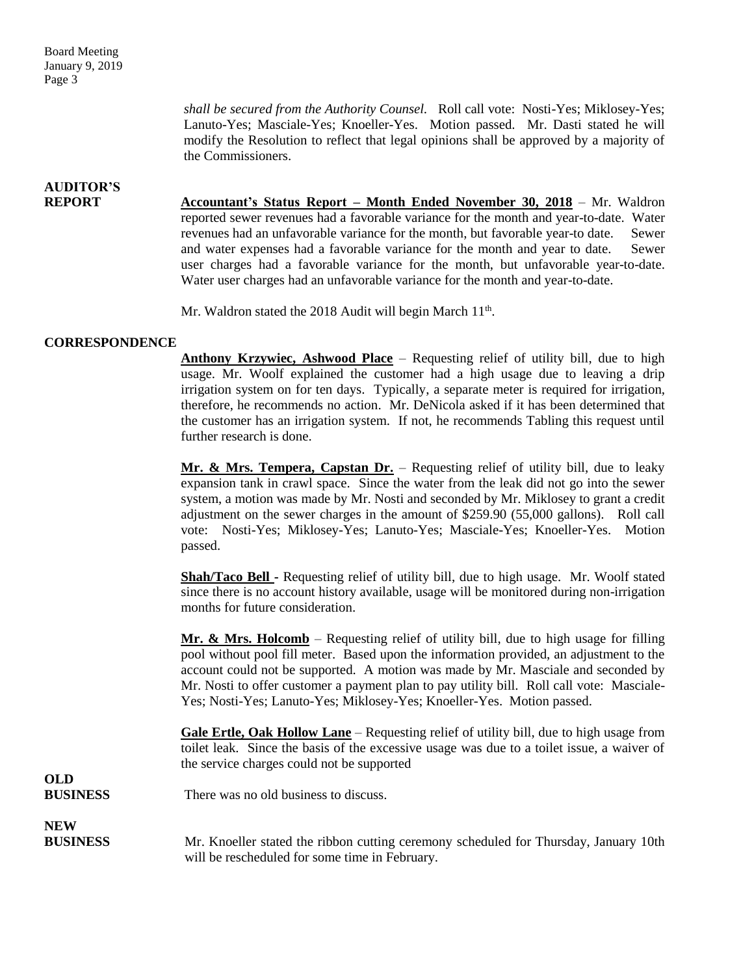*shall be secured from the Authority Counsel.* Roll call vote: Nosti-Yes; Miklosey-Yes; Lanuto-Yes; Masciale-Yes; Knoeller-Yes. Motion passed. Mr. Dasti stated he will modify the Resolution to reflect that legal opinions shall be approved by a majority of the Commissioners.

## **AUDITOR'S**

**REPORT Accountant's Status Report – Month Ended November 30, 2018** – Mr. Waldron reported sewer revenues had a favorable variance for the month and year-to-date. Water revenues had an unfavorable variance for the month, but favorable year-to date. Sewer and water expenses had a favorable variance for the month and year to date. Sewer user charges had a favorable variance for the month, but unfavorable year-to-date. Water user charges had an unfavorable variance for the month and year-to-date.

Mr. Waldron stated the 2018 Audit will begin March 11<sup>th</sup>.

#### **CORRESPONDENCE**

**Anthony Krzywiec, Ashwood Place** – Requesting relief of utility bill, due to high usage. Mr. Woolf explained the customer had a high usage due to leaving a drip irrigation system on for ten days. Typically, a separate meter is required for irrigation, therefore, he recommends no action. Mr. DeNicola asked if it has been determined that the customer has an irrigation system. If not, he recommends Tabling this request until further research is done.

**Mr. & Mrs. Tempera, Capstan Dr.** – Requesting relief of utility bill, due to leaky expansion tank in crawl space. Since the water from the leak did not go into the sewer system, a motion was made by Mr. Nosti and seconded by Mr. Miklosey to grant a credit adjustment on the sewer charges in the amount of \$259.90 (55,000 gallons). Roll call vote: Nosti-Yes; Miklosey-Yes; Lanuto-Yes; Masciale-Yes; Knoeller-Yes. Motion passed.

**Shah/Taco Bell -** Requesting relief of utility bill, due to high usage. Mr. Woolf stated since there is no account history available, usage will be monitored during non-irrigation months for future consideration.

**Mr. & Mrs. Holcomb** – Requesting relief of utility bill, due to high usage for filling pool without pool fill meter. Based upon the information provided, an adjustment to the account could not be supported. A motion was made by Mr. Masciale and seconded by Mr. Nosti to offer customer a payment plan to pay utility bill. Roll call vote: Masciale-Yes; Nosti-Yes; Lanuto-Yes; Miklosey-Yes; Knoeller-Yes. Motion passed.

**Gale Ertle, Oak Hollow Lane** – Requesting relief of utility bill, due to high usage from toilet leak. Since the basis of the excessive usage was due to a toilet issue, a waiver of the service charges could not be supported

#### **BUSINESS** There was no old business to discuss.

**NEW**

**OLD**

**BUSINESS** Mr. Knoeller stated the ribbon cutting ceremony scheduled for Thursday, January 10th will be rescheduled for some time in February.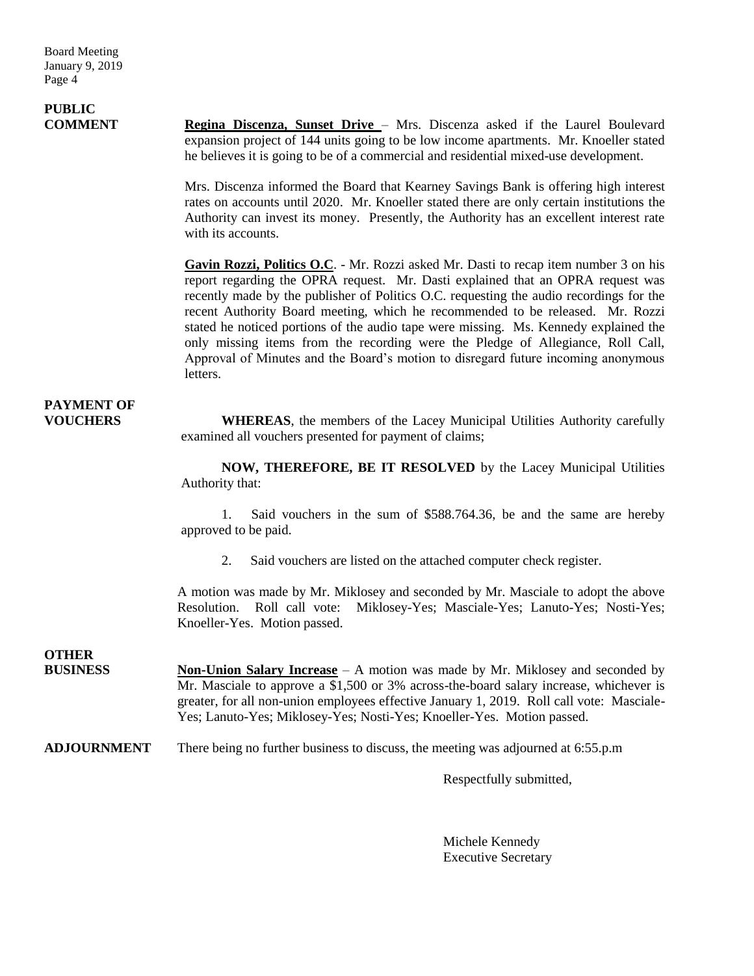# **PUBLIC**

**COMMENT Regina Discenza, Sunset Drive** – Mrs. Discenza asked if the Laurel Boulevard expansion project of 144 units going to be low income apartments. Mr. Knoeller stated he believes it is going to be of a commercial and residential mixed-use development.

> Mrs. Discenza informed the Board that Kearney Savings Bank is offering high interest rates on accounts until 2020. Mr. Knoeller stated there are only certain institutions the Authority can invest its money. Presently, the Authority has an excellent interest rate with its accounts.

> **Gavin Rozzi, Politics O.C**. - Mr. Rozzi asked Mr. Dasti to recap item number 3 on his report regarding the OPRA request. Mr. Dasti explained that an OPRA request was recently made by the publisher of Politics O.C. requesting the audio recordings for the recent Authority Board meeting, which he recommended to be released. Mr. Rozzi stated he noticed portions of the audio tape were missing. Ms. Kennedy explained the only missing items from the recording were the Pledge of Allegiance, Roll Call, Approval of Minutes and the Board's motion to disregard future incoming anonymous letters.

### **PAYMENT OF**

**VOUCHERS WHEREAS**, the members of the Lacey Municipal Utilities Authority carefully examined all vouchers presented for payment of claims;

> **NOW, THEREFORE, BE IT RESOLVED** by the Lacey Municipal Utilities Authority that:

> 1. Said vouchers in the sum of \$588.764.36, be and the same are hereby approved to be paid.

2. Said vouchers are listed on the attached computer check register.

A motion was made by Mr. Miklosey and seconded by Mr. Masciale to adopt the above Resolution. Roll call vote: Miklosey-Yes; Masciale-Yes; Lanuto-Yes; Nosti-Yes; Knoeller-Yes. Motion passed.

### **OTHER**

**BUSINESS Non-Union Salary Increase** – A motion was made by Mr. Miklosey and seconded by Mr. Masciale to approve a \$1,500 or 3% across-the-board salary increase, whichever is greater, for all non-union employees effective January 1, 2019. Roll call vote: Masciale-Yes; Lanuto-Yes; Miklosey-Yes; Nosti-Yes; Knoeller-Yes. Motion passed.

**ADJOURNMENT** There being no further business to discuss, the meeting was adjourned at 6:55.p.m

Respectfully submitted,

Michele Kennedy Executive Secretary